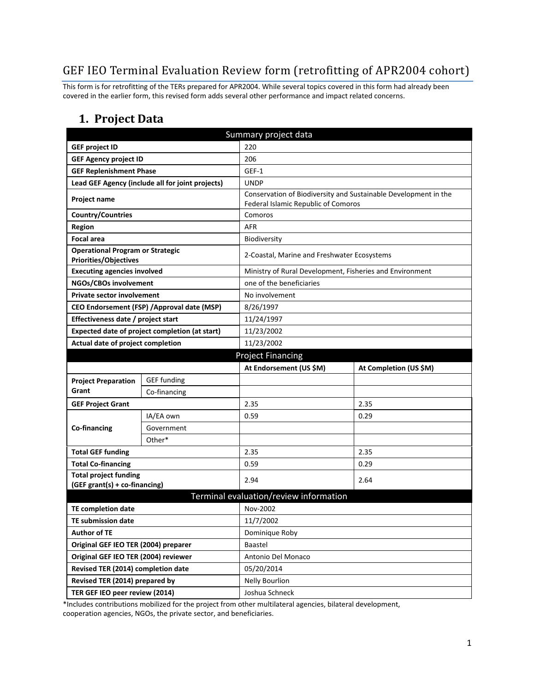# GEF IEO Terminal Evaluation Review form (retrofitting of APR2004 cohort)

This form is for retrofitting of the TERs prepared for APR2004. While several topics covered in this form had already been covered in the earlier form, this revised form adds several other performance and impact related concerns.

#### **1. Project Data**

| Summary project data                                             |                                                |                                                          |                                                                 |  |  |
|------------------------------------------------------------------|------------------------------------------------|----------------------------------------------------------|-----------------------------------------------------------------|--|--|
| <b>GEF project ID</b>                                            |                                                | 220                                                      |                                                                 |  |  |
| <b>GEF Agency project ID</b>                                     |                                                | 206                                                      |                                                                 |  |  |
| <b>GEF Replenishment Phase</b>                                   |                                                | GEF-1                                                    |                                                                 |  |  |
| Lead GEF Agency (include all for joint projects)                 |                                                | <b>UNDP</b>                                              |                                                                 |  |  |
| Project name                                                     |                                                | Federal Islamic Republic of Comoros                      | Conservation of Biodiversity and Sustainable Development in the |  |  |
| <b>Country/Countries</b>                                         |                                                | Comoros                                                  |                                                                 |  |  |
| <b>Region</b>                                                    |                                                | <b>AFR</b>                                               |                                                                 |  |  |
| <b>Focal area</b>                                                |                                                | <b>Biodiversity</b>                                      |                                                                 |  |  |
| <b>Operational Program or Strategic</b><br>Priorities/Objectives |                                                |                                                          | 2-Coastal, Marine and Freshwater Ecosystems                     |  |  |
| <b>Executing agencies involved</b>                               |                                                | Ministry of Rural Development, Fisheries and Environment |                                                                 |  |  |
| NGOs/CBOs involvement                                            |                                                | one of the beneficiaries                                 |                                                                 |  |  |
| <b>Private sector involvement</b>                                |                                                | No involvement                                           |                                                                 |  |  |
|                                                                  | CEO Endorsement (FSP) / Approval date (MSP)    | 8/26/1997                                                |                                                                 |  |  |
| Effectiveness date / project start                               |                                                | 11/24/1997                                               |                                                                 |  |  |
|                                                                  | Expected date of project completion (at start) | 11/23/2002                                               |                                                                 |  |  |
| Actual date of project completion                                |                                                | 11/23/2002                                               |                                                                 |  |  |
| <b>Project Financing</b>                                         |                                                |                                                          |                                                                 |  |  |
|                                                                  |                                                | At Endorsement (US \$M)                                  | At Completion (US \$M)                                          |  |  |
| <b>Project Preparation</b>                                       | <b>GEF</b> funding                             |                                                          |                                                                 |  |  |
| Grant                                                            | Co-financing                                   |                                                          |                                                                 |  |  |
| <b>GEF Project Grant</b>                                         |                                                | 2.35                                                     | 2.35                                                            |  |  |
|                                                                  | IA/EA own                                      | 0.59                                                     | 0.29                                                            |  |  |
| Co-financing                                                     | Government                                     |                                                          |                                                                 |  |  |
|                                                                  | Other*                                         |                                                          |                                                                 |  |  |
| <b>Total GEF funding</b>                                         |                                                | 2.35                                                     | 2.35                                                            |  |  |
| <b>Total Co-financing</b>                                        |                                                | 0.59                                                     | 0.29                                                            |  |  |
| <b>Total project funding</b><br>(GEF grant(s) + co-financing)    |                                                | 2.94                                                     | 2.64                                                            |  |  |
|                                                                  |                                                | Terminal evaluation/review information                   |                                                                 |  |  |
| <b>TE completion date</b>                                        |                                                | Nov-2002                                                 |                                                                 |  |  |
| <b>TE submission date</b>                                        |                                                | 11/7/2002                                                |                                                                 |  |  |
| <b>Author of TE</b>                                              |                                                | Dominique Roby                                           |                                                                 |  |  |
| Original GEF IEO TER (2004) preparer                             |                                                | Baastel                                                  |                                                                 |  |  |
| Original GEF IEO TER (2004) reviewer                             |                                                | Antonio Del Monaco                                       |                                                                 |  |  |
| Revised TER (2014) completion date                               |                                                | 05/20/2014                                               |                                                                 |  |  |
| Revised TER (2014) prepared by                                   |                                                | <b>Nelly Bourlion</b>                                    |                                                                 |  |  |
| TER GEF IEO peer review (2014)                                   |                                                | Joshua Schneck                                           |                                                                 |  |  |

\*Includes contributions mobilized for the project from other multilateral agencies, bilateral development, cooperation agencies, NGOs, the private sector, and beneficiaries.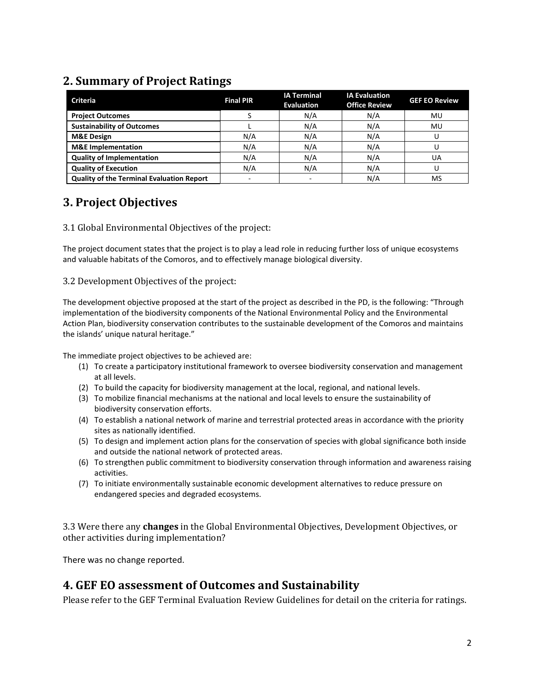### **2. Summary of Project Ratings**

| <b>Criteria</b>                                  | <b>Final PIR</b>         | <b>IA Terminal</b><br><b>Evaluation</b> | <b>IA Evaluation</b><br><b>Office Review</b> | <b>GEF EO Review</b> |
|--------------------------------------------------|--------------------------|-----------------------------------------|----------------------------------------------|----------------------|
| <b>Project Outcomes</b>                          |                          | N/A                                     | N/A                                          | MU                   |
| <b>Sustainability of Outcomes</b>                |                          | N/A                                     | N/A                                          | MU                   |
| <b>M&amp;E Design</b>                            | N/A                      | N/A                                     | N/A                                          |                      |
| <b>M&amp;E</b> Implementation                    | N/A                      | N/A                                     | N/A                                          |                      |
| <b>Quality of Implementation</b>                 | N/A                      | N/A                                     | N/A                                          | UA                   |
| <b>Quality of Execution</b>                      | N/A                      | N/A                                     | N/A                                          |                      |
| <b>Quality of the Terminal Evaluation Report</b> | $\overline{\phantom{0}}$ | -                                       | N/A                                          | MS                   |

### **3. Project Objectives**

#### 3.1 Global Environmental Objectives of the project:

The project document states that the project is to play a lead role in reducing further loss of unique ecosystems and valuable habitats of the Comoros, and to effectively manage biological diversity.

#### 3.2 Development Objectives of the project:

The development objective proposed at the start of the project as described in the PD, is the following: "Through implementation of the biodiversity components of the National Environmental Policy and the Environmental Action Plan, biodiversity conservation contributes to the sustainable development of the Comoros and maintains the islands' unique natural heritage."

The immediate project objectives to be achieved are:

- (1) To create a participatory institutional framework to oversee biodiversity conservation and management at all levels.
- (2) To build the capacity for biodiversity management at the local, regional, and national levels.
- (3) To mobilize financial mechanisms at the national and local levels to ensure the sustainability of biodiversity conservation efforts.
- (4) To establish a national network of marine and terrestrial protected areas in accordance with the priority sites as nationally identified.
- (5) To design and implement action plans for the conservation of species with global significance both inside and outside the national network of protected areas.
- (6) To strengthen public commitment to biodiversity conservation through information and awareness raising activities.
- (7) To initiate environmentally sustainable economic development alternatives to reduce pressure on endangered species and degraded ecosystems.

3.3 Were there any **changes** in the Global Environmental Objectives, Development Objectives, or other activities during implementation?

There was no change reported.

#### **4. GEF EO assessment of Outcomes and Sustainability**

Please refer to the GEF Terminal Evaluation Review Guidelines for detail on the criteria for ratings.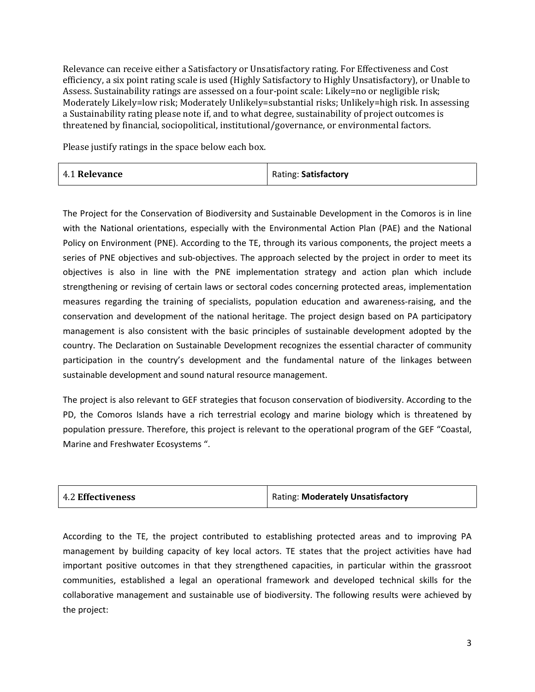Relevance can receive either a Satisfactory or Unsatisfactory rating. For Effectiveness and Cost efficiency, a six point rating scale is used (Highly Satisfactory to Highly Unsatisfactory), or Unable to Assess. Sustainability ratings are assessed on a four-point scale: Likely=no or negligible risk; Moderately Likely=low risk; Moderately Unlikely=substantial risks; Unlikely=high risk. In assessing a Sustainability rating please note if, and to what degree, sustainability of project outcomes is threatened by financial, sociopolitical, institutional/governance, or environmental factors.

Please justify ratings in the space below each box.

| 4.1 Relevance | Rating: Satisfactory |
|---------------|----------------------|
|---------------|----------------------|

The Project for the Conservation of Biodiversity and Sustainable Development in the Comoros is in line with the National orientations, especially with the Environmental Action Plan (PAE) and the National Policy on Environment (PNE). According to the TE, through its various components, the project meets a series of PNE objectives and sub-objectives. The approach selected by the project in order to meet its objectives is also in line with the PNE implementation strategy and action plan which include strengthening or revising of certain laws or sectoral codes concerning protected areas, implementation measures regarding the training of specialists, population education and awareness-raising, and the conservation and development of the national heritage. The project design based on PA participatory management is also consistent with the basic principles of sustainable development adopted by the country. The Declaration on Sustainable Development recognizes the essential character of community participation in the country's development and the fundamental nature of the linkages between sustainable development and sound natural resource management.

The project is also relevant to GEF strategies that focuson conservation of biodiversity. According to the PD, the Comoros Islands have a rich terrestrial ecology and marine biology which is threatened by population pressure. Therefore, this project is relevant to the operational program of the GEF "Coastal, Marine and Freshwater Ecosystems ".

| 4.2 Effectiveness | Rating: Moderately Unsatisfactory |
|-------------------|-----------------------------------|
|-------------------|-----------------------------------|

According to the TE, the project contributed to establishing protected areas and to improving PA management by building capacity of key local actors. TE states that the project activities have had important positive outcomes in that they strengthened capacities, in particular within the grassroot communities, established a legal an operational framework and developed technical skills for the collaborative management and sustainable use of biodiversity. The following results were achieved by the project: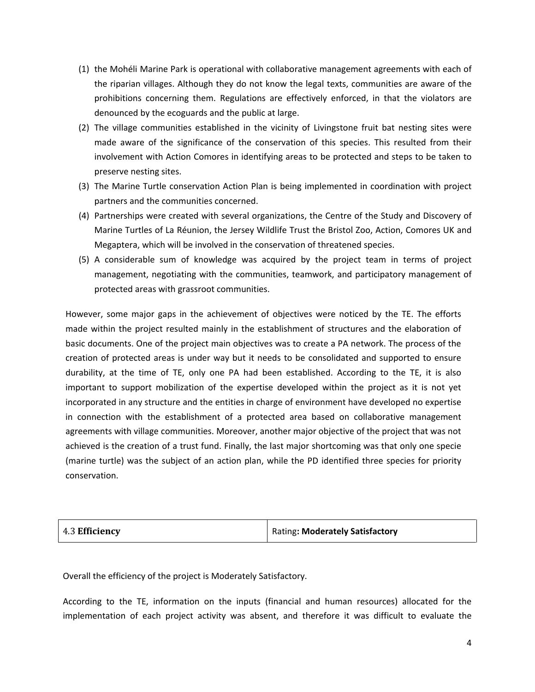- (1) the Mohéli Marine Park is operational with collaborative management agreements with each of the riparian villages. Although they do not know the legal texts, communities are aware of the prohibitions concerning them. Regulations are effectively enforced, in that the violators are denounced by the ecoguards and the public at large.
- (2) The village communities established in the vicinity of Livingstone fruit bat nesting sites were made aware of the significance of the conservation of this species. This resulted from their involvement with Action Comores in identifying areas to be protected and steps to be taken to preserve nesting sites.
- (3) The Marine Turtle conservation Action Plan is being implemented in coordination with project partners and the communities concerned.
- (4) Partnerships were created with several organizations, the Centre of the Study and Discovery of Marine Turtles of La Réunion, the Jersey Wildlife Trust the Bristol Zoo, Action, Comores UK and Megaptera, which will be involved in the conservation of threatened species.
- (5) A considerable sum of knowledge was acquired by the project team in terms of project management, negotiating with the communities, teamwork, and participatory management of protected areas with grassroot communities.

However, some major gaps in the achievement of objectives were noticed by the TE. The efforts made within the project resulted mainly in the establishment of structures and the elaboration of basic documents. One of the project main objectives was to create a PA network. The process of the creation of protected areas is under way but it needs to be consolidated and supported to ensure durability, at the time of TE, only one PA had been established. According to the TE, it is also important to support mobilization of the expertise developed within the project as it is not yet incorporated in any structure and the entities in charge of environment have developed no expertise in connection with the establishment of a protected area based on collaborative management agreements with village communities. Moreover, another major objective of the project that was not achieved is the creation of a trust fund. Finally, the last major shortcoming was that only one specie (marine turtle) was the subject of an action plan, while the PD identified three species for priority conservation.

| Rating: Moderately Satisfactory |
|---------------------------------|
|                                 |

Overall the efficiency of the project is Moderately Satisfactory.

According to the TE, information on the inputs (financial and human resources) allocated for the implementation of each project activity was absent, and therefore it was difficult to evaluate the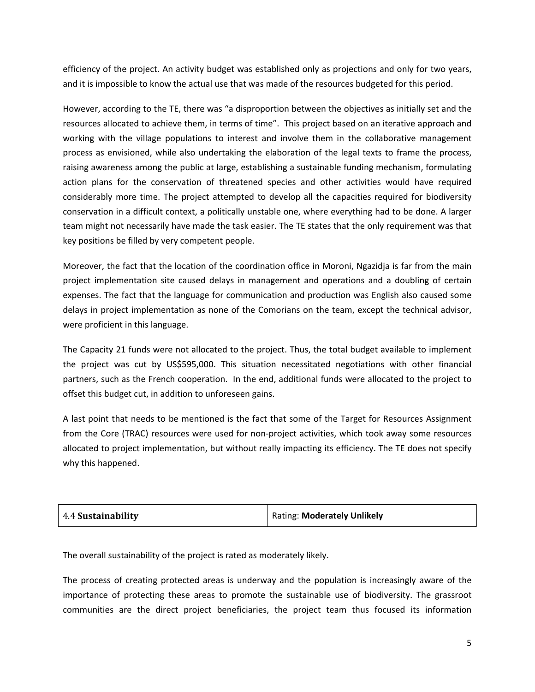efficiency of the project. An activity budget was established only as projections and only for two years, and it is impossible to know the actual use that was made of the resources budgeted for this period.

However, according to the TE, there was "a disproportion between the objectives as initially set and the resources allocated to achieve them, in terms of time". This project based on an iterative approach and working with the village populations to interest and involve them in the collaborative management process as envisioned, while also undertaking the elaboration of the legal texts to frame the process, raising awareness among the public at large, establishing a sustainable funding mechanism, formulating action plans for the conservation of threatened species and other activities would have required considerably more time. The project attempted to develop all the capacities required for biodiversity conservation in a difficult context, a politically unstable one, where everything had to be done. A larger team might not necessarily have made the task easier. The TE states that the only requirement was that key positions be filled by very competent people.

Moreover, the fact that the location of the coordination office in Moroni, Ngazidja is far from the main project implementation site caused delays in management and operations and a doubling of certain expenses. The fact that the language for communication and production was English also caused some delays in project implementation as none of the Comorians on the team, except the technical advisor, were proficient in this language.

The Capacity 21 funds were not allocated to the project. Thus, the total budget available to implement the project was cut by US\$595,000. This situation necessitated negotiations with other financial partners, such as the French cooperation. In the end, additional funds were allocated to the project to offset this budget cut, in addition to unforeseen gains.

A last point that needs to be mentioned is the fact that some of the Target for Resources Assignment from the Core (TRAC) resources were used for non-project activities, which took away some resources allocated to project implementation, but without really impacting its efficiency. The TE does not specify why this happened.

| 4.4 Sustainability | Rating: Moderately Unlikely |
|--------------------|-----------------------------|
|                    |                             |

The overall sustainability of the project is rated as moderately likely.

The process of creating protected areas is underway and the population is increasingly aware of the importance of protecting these areas to promote the sustainable use of biodiversity. The grassroot communities are the direct project beneficiaries, the project team thus focused its information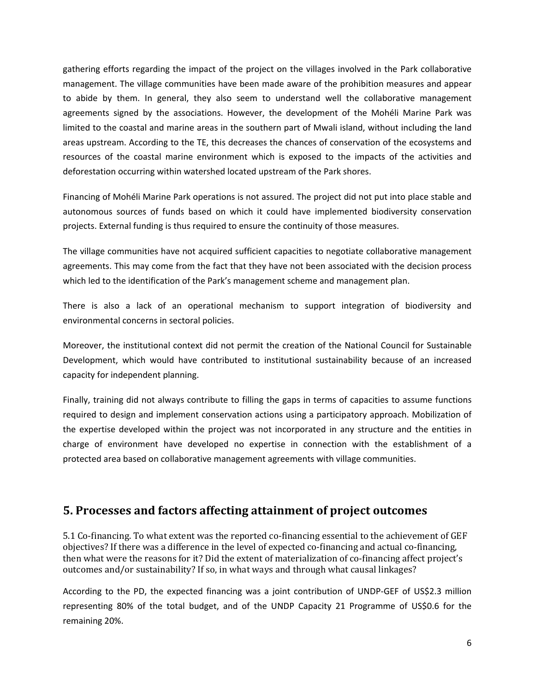gathering efforts regarding the impact of the project on the villages involved in the Park collaborative management. The village communities have been made aware of the prohibition measures and appear to abide by them. In general, they also seem to understand well the collaborative management agreements signed by the associations. However, the development of the Mohéli Marine Park was limited to the coastal and marine areas in the southern part of Mwali island, without including the land areas upstream. According to the TE, this decreases the chances of conservation of the ecosystems and resources of the coastal marine environment which is exposed to the impacts of the activities and deforestation occurring within watershed located upstream of the Park shores.

Financing of Mohéli Marine Park operations is not assured. The project did not put into place stable and autonomous sources of funds based on which it could have implemented biodiversity conservation projects. External funding is thus required to ensure the continuity of those measures.

The village communities have not acquired sufficient capacities to negotiate collaborative management agreements. This may come from the fact that they have not been associated with the decision process which led to the identification of the Park's management scheme and management plan.

There is also a lack of an operational mechanism to support integration of biodiversity and environmental concerns in sectoral policies.

Moreover, the institutional context did not permit the creation of the National Council for Sustainable Development, which would have contributed to institutional sustainability because of an increased capacity for independent planning.

Finally, training did not always contribute to filling the gaps in terms of capacities to assume functions required to design and implement conservation actions using a participatory approach. Mobilization of the expertise developed within the project was not incorporated in any structure and the entities in charge of environment have developed no expertise in connection with the establishment of a protected area based on collaborative management agreements with village communities.

#### **5. Processes and factors affecting attainment of project outcomes**

5.1 Co-financing. To what extent was the reported co-financing essential to the achievement of GEF objectives? If there was a difference in the level of expected co-financing and actual co-financing, then what were the reasons for it? Did the extent of materialization of co-financing affect project's outcomes and/or sustainability? If so, in what ways and through what causal linkages?

According to the PD, the expected financing was a joint contribution of UNDP-GEF of US\$2.3 million representing 80% of the total budget, and of the UNDP Capacity 21 Programme of US\$0.6 for the remaining 20%.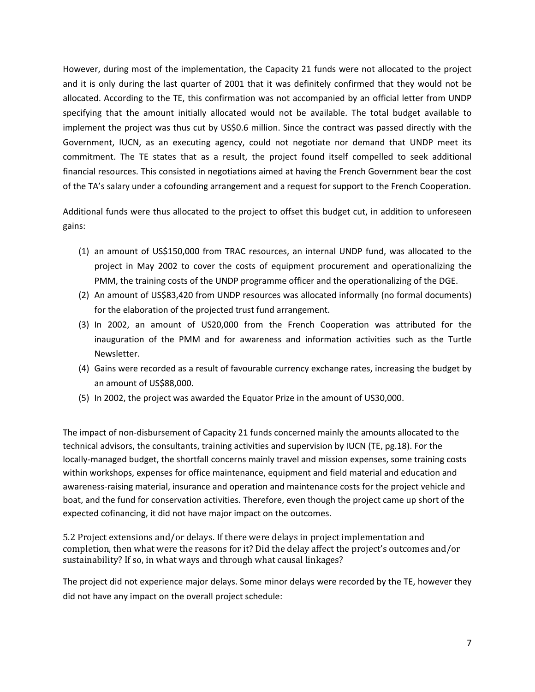However, during most of the implementation, the Capacity 21 funds were not allocated to the project and it is only during the last quarter of 2001 that it was definitely confirmed that they would not be allocated. According to the TE, this confirmation was not accompanied by an official letter from UNDP specifying that the amount initially allocated would not be available. The total budget available to implement the project was thus cut by US\$0.6 million. Since the contract was passed directly with the Government, IUCN, as an executing agency, could not negotiate nor demand that UNDP meet its commitment. The TE states that as a result, the project found itself compelled to seek additional financial resources. This consisted in negotiations aimed at having the French Government bear the cost of the TA's salary under a cofounding arrangement and a request for support to the French Cooperation.

Additional funds were thus allocated to the project to offset this budget cut, in addition to unforeseen gains:

- (1) an amount of US\$150,000 from TRAC resources, an internal UNDP fund, was allocated to the project in May 2002 to cover the costs of equipment procurement and operationalizing the PMM, the training costs of the UNDP programme officer and the operationalizing of the DGE.
- (2) An amount of US\$83,420 from UNDP resources was allocated informally (no formal documents) for the elaboration of the projected trust fund arrangement.
- (3) In 2002, an amount of US20,000 from the French Cooperation was attributed for the inauguration of the PMM and for awareness and information activities such as the Turtle Newsletter.
- (4) Gains were recorded as a result of favourable currency exchange rates, increasing the budget by an amount of US\$88,000.
- (5) In 2002, the project was awarded the Equator Prize in the amount of US30,000.

The impact of non-disbursement of Capacity 21 funds concerned mainly the amounts allocated to the technical advisors, the consultants, training activities and supervision by IUCN (TE, pg.18). For the locally-managed budget, the shortfall concerns mainly travel and mission expenses, some training costs within workshops, expenses for office maintenance, equipment and field material and education and awareness-raising material, insurance and operation and maintenance costs for the project vehicle and boat, and the fund for conservation activities. Therefore, even though the project came up short of the expected cofinancing, it did not have major impact on the outcomes.

5.2 Project extensions and/or delays. If there were delays in project implementation and completion, then what were the reasons for it? Did the delay affect the project's outcomes and/or sustainability? If so, in what ways and through what causal linkages?

The project did not experience major delays. Some minor delays were recorded by the TE, however they did not have any impact on the overall project schedule: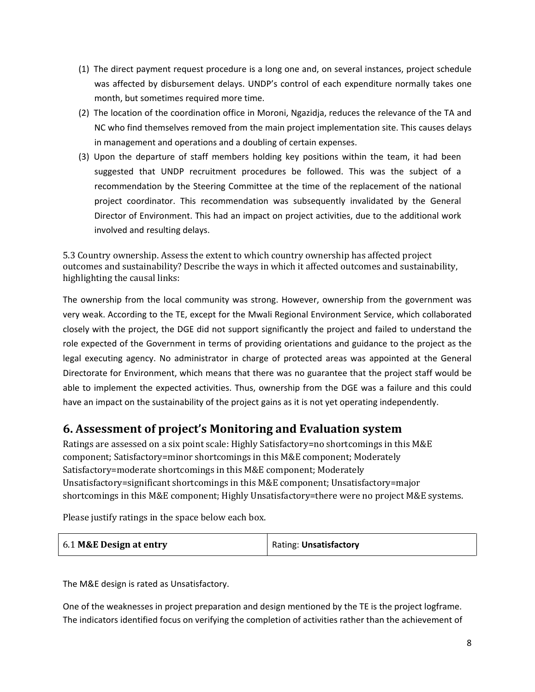- (1) The direct payment request procedure is a long one and, on several instances, project schedule was affected by disbursement delays. UNDP's control of each expenditure normally takes one month, but sometimes required more time.
- (2) The location of the coordination office in Moroni, Ngazidja, reduces the relevance of the TA and NC who find themselves removed from the main project implementation site. This causes delays in management and operations and a doubling of certain expenses.
- (3) Upon the departure of staff members holding key positions within the team, it had been suggested that UNDP recruitment procedures be followed. This was the subject of a recommendation by the Steering Committee at the time of the replacement of the national project coordinator. This recommendation was subsequently invalidated by the General Director of Environment. This had an impact on project activities, due to the additional work involved and resulting delays.

5.3 Country ownership. Assess the extent to which country ownership has affected project outcomes and sustainability? Describe the ways in which it affected outcomes and sustainability, highlighting the causal links:

The ownership from the local community was strong. However, ownership from the government was very weak. According to the TE, except for the Mwali Regional Environment Service, which collaborated closely with the project, the DGE did not support significantly the project and failed to understand the role expected of the Government in terms of providing orientations and guidance to the project as the legal executing agency. No administrator in charge of protected areas was appointed at the General Directorate for Environment, which means that there was no guarantee that the project staff would be able to implement the expected activities. Thus, ownership from the DGE was a failure and this could have an impact on the sustainability of the project gains as it is not yet operating independently.

#### **6. Assessment of project's Monitoring and Evaluation system**

Ratings are assessed on a six point scale: Highly Satisfactory=no shortcomings in this M&E component; Satisfactory=minor shortcomings in this M&E component; Moderately Satisfactory=moderate shortcomings in this M&E component; Moderately Unsatisfactory=significant shortcomings in this M&E component; Unsatisfactory=major shortcomings in this M&E component; Highly Unsatisfactory=there were no project M&E systems.

Please justify ratings in the space below each box.

| 6.1 M&E Design at entry | Rating: Unsatisfactory |
|-------------------------|------------------------|
|                         |                        |

The M&E design is rated as Unsatisfactory.

One of the weaknesses in project preparation and design mentioned by the TE is the project logframe. The indicators identified focus on verifying the completion of activities rather than the achievement of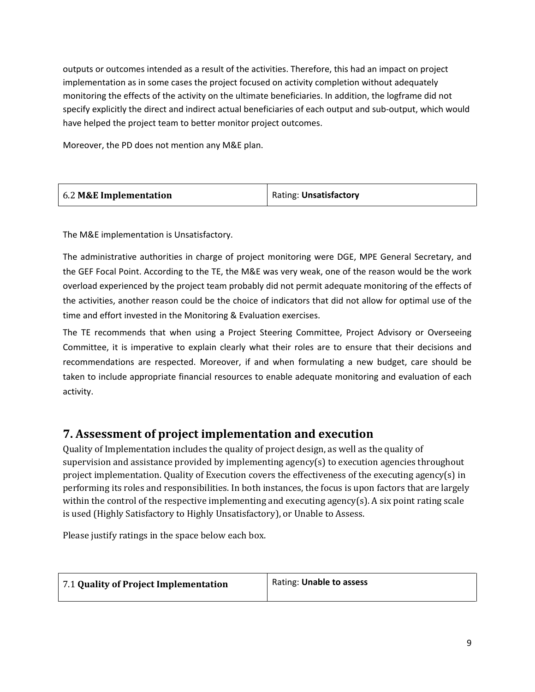outputs or outcomes intended as a result of the activities. Therefore, this had an impact on project implementation as in some cases the project focused on activity completion without adequately monitoring the effects of the activity on the ultimate beneficiaries. In addition, the logframe did not specify explicitly the direct and indirect actual beneficiaries of each output and sub-output, which would have helped the project team to better monitor project outcomes.

Moreover, the PD does not mention any M&E plan.

| 6.2 M&E Implementation | Rating: Unsatisfactory |
|------------------------|------------------------|
|------------------------|------------------------|

The M&E implementation is Unsatisfactory.

The administrative authorities in charge of project monitoring were DGE, MPE General Secretary, and the GEF Focal Point. According to the TE, the M&E was very weak, one of the reason would be the work overload experienced by the project team probably did not permit adequate monitoring of the effects of the activities, another reason could be the choice of indicators that did not allow for optimal use of the time and effort invested in the Monitoring & Evaluation exercises.

The TE recommends that when using a Project Steering Committee, Project Advisory or Overseeing Committee, it is imperative to explain clearly what their roles are to ensure that their decisions and recommendations are respected. Moreover, if and when formulating a new budget, care should be taken to include appropriate financial resources to enable adequate monitoring and evaluation of each activity.

#### **7. Assessment of project implementation and execution**

Quality of Implementation includes the quality of project design, as well as the quality of supervision and assistance provided by implementing agency(s) to execution agencies throughout project implementation. Quality of Execution covers the effectiveness of the executing agency(s) in performing its roles and responsibilities. In both instances, the focus is upon factors that are largely within the control of the respective implementing and executing agency(s). A six point rating scale is used (Highly Satisfactory to Highly Unsatisfactory), or Unable to Assess.

Please justify ratings in the space below each box.

| 7.1 Quality of Project Implementation | Rating: Unable to assess |
|---------------------------------------|--------------------------|
|                                       |                          |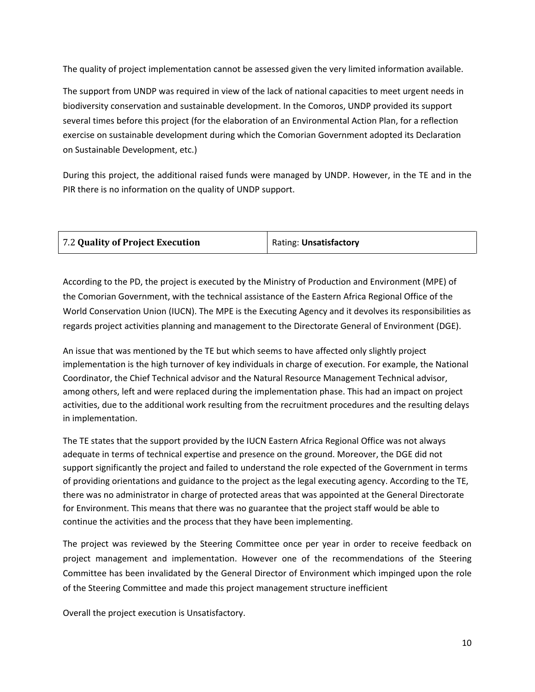The quality of project implementation cannot be assessed given the very limited information available.

The support from UNDP was required in view of the lack of national capacities to meet urgent needs in biodiversity conservation and sustainable development. In the Comoros, UNDP provided its support several times before this project (for the elaboration of an Environmental Action Plan, for a reflection exercise on sustainable development during which the Comorian Government adopted its Declaration on Sustainable Development, etc.)

During this project, the additional raised funds were managed by UNDP. However, in the TE and in the PIR there is no information on the quality of UNDP support.

| <b>7.2 Quality of Project Execution</b> | Rating: Unsatisfactory |
|-----------------------------------------|------------------------|
|                                         |                        |

According to the PD, the project is executed by the Ministry of Production and Environment (MPE) of the Comorian Government, with the technical assistance of the Eastern Africa Regional Office of the World Conservation Union (IUCN). The MPE is the Executing Agency and it devolves its responsibilities as regards project activities planning and management to the Directorate General of Environment (DGE).

An issue that was mentioned by the TE but which seems to have affected only slightly project implementation is the high turnover of key individuals in charge of execution. For example, the National Coordinator, the Chief Technical advisor and the Natural Resource Management Technical advisor, among others, left and were replaced during the implementation phase. This had an impact on project activities, due to the additional work resulting from the recruitment procedures and the resulting delays in implementation.

The TE states that the support provided by the IUCN Eastern Africa Regional Office was not always adequate in terms of technical expertise and presence on the ground. Moreover, the DGE did not support significantly the project and failed to understand the role expected of the Government in terms of providing orientations and guidance to the project as the legal executing agency. According to the TE, there was no administrator in charge of protected areas that was appointed at the General Directorate for Environment. This means that there was no guarantee that the project staff would be able to continue the activities and the process that they have been implementing.

The project was reviewed by the Steering Committee once per year in order to receive feedback on project management and implementation. However one of the recommendations of the Steering Committee has been invalidated by the General Director of Environment which impinged upon the role of the Steering Committee and made this project management structure inefficient

Overall the project execution is Unsatisfactory.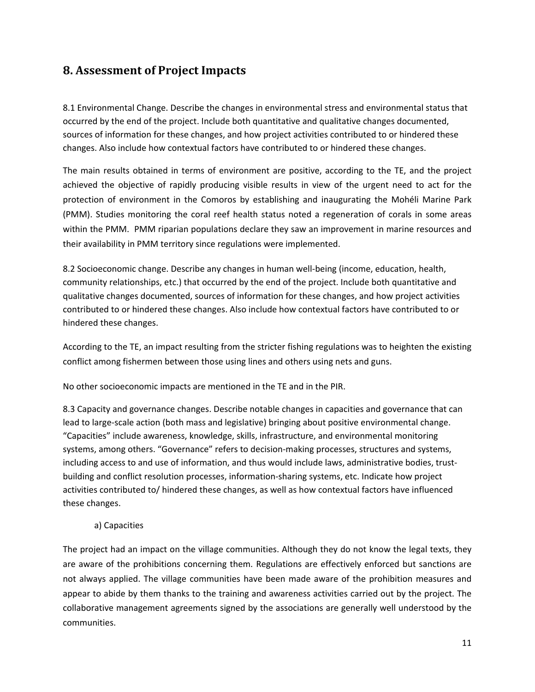#### **8. Assessment of Project Impacts**

8.1 Environmental Change. Describe the changes in environmental stress and environmental status that occurred by the end of the project. Include both quantitative and qualitative changes documented, sources of information for these changes, and how project activities contributed to or hindered these changes. Also include how contextual factors have contributed to or hindered these changes.

The main results obtained in terms of environment are positive, according to the TE, and the project achieved the objective of rapidly producing visible results in view of the urgent need to act for the protection of environment in the Comoros by establishing and inaugurating the Mohéli Marine Park (PMM). Studies monitoring the coral reef health status noted a regeneration of corals in some areas within the PMM. PMM riparian populations declare they saw an improvement in marine resources and their availability in PMM territory since regulations were implemented.

8.2 Socioeconomic change. Describe any changes in human well-being (income, education, health, community relationships, etc.) that occurred by the end of the project. Include both quantitative and qualitative changes documented, sources of information for these changes, and how project activities contributed to or hindered these changes. Also include how contextual factors have contributed to or hindered these changes.

According to the TE, an impact resulting from the stricter fishing regulations was to heighten the existing conflict among fishermen between those using lines and others using nets and guns.

No other socioeconomic impacts are mentioned in the TE and in the PIR.

8.3 Capacity and governance changes. Describe notable changes in capacities and governance that can lead to large-scale action (both mass and legislative) bringing about positive environmental change. "Capacities" include awareness, knowledge, skills, infrastructure, and environmental monitoring systems, among others. "Governance" refers to decision-making processes, structures and systems, including access to and use of information, and thus would include laws, administrative bodies, trustbuilding and conflict resolution processes, information-sharing systems, etc. Indicate how project activities contributed to/ hindered these changes, as well as how contextual factors have influenced these changes.

a) Capacities

The project had an impact on the village communities. Although they do not know the legal texts, they are aware of the prohibitions concerning them. Regulations are effectively enforced but sanctions are not always applied. The village communities have been made aware of the prohibition measures and appear to abide by them thanks to the training and awareness activities carried out by the project. The collaborative management agreements signed by the associations are generally well understood by the communities.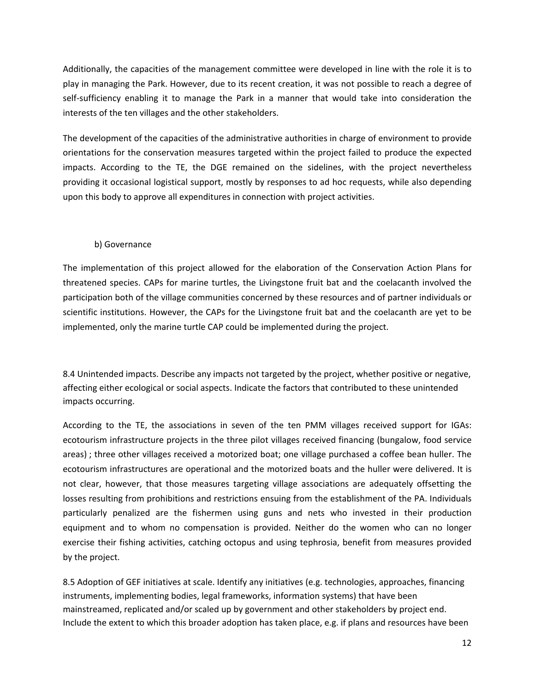Additionally, the capacities of the management committee were developed in line with the role it is to play in managing the Park. However, due to its recent creation, it was not possible to reach a degree of self-sufficiency enabling it to manage the Park in a manner that would take into consideration the interests of the ten villages and the other stakeholders.

The development of the capacities of the administrative authorities in charge of environment to provide orientations for the conservation measures targeted within the project failed to produce the expected impacts. According to the TE, the DGE remained on the sidelines, with the project nevertheless providing it occasional logistical support, mostly by responses to ad hoc requests, while also depending upon this body to approve all expenditures in connection with project activities.

#### b) Governance

The implementation of this project allowed for the elaboration of the Conservation Action Plans for threatened species. CAPs for marine turtles, the Livingstone fruit bat and the coelacanth involved the participation both of the village communities concerned by these resources and of partner individuals or scientific institutions. However, the CAPs for the Livingstone fruit bat and the coelacanth are yet to be implemented, only the marine turtle CAP could be implemented during the project.

8.4 Unintended impacts. Describe any impacts not targeted by the project, whether positive or negative, affecting either ecological or social aspects. Indicate the factors that contributed to these unintended impacts occurring.

According to the TE, the associations in seven of the ten PMM villages received support for IGAs: ecotourism infrastructure projects in the three pilot villages received financing (bungalow, food service areas) ; three other villages received a motorized boat; one village purchased a coffee bean huller. The ecotourism infrastructures are operational and the motorized boats and the huller were delivered. It is not clear, however, that those measures targeting village associations are adequately offsetting the losses resulting from prohibitions and restrictions ensuing from the establishment of the PA. Individuals particularly penalized are the fishermen using guns and nets who invested in their production equipment and to whom no compensation is provided. Neither do the women who can no longer exercise their fishing activities, catching octopus and using tephrosia, benefit from measures provided by the project.

8.5 Adoption of GEF initiatives at scale. Identify any initiatives (e.g. technologies, approaches, financing instruments, implementing bodies, legal frameworks, information systems) that have been mainstreamed, replicated and/or scaled up by government and other stakeholders by project end. Include the extent to which this broader adoption has taken place, e.g. if plans and resources have been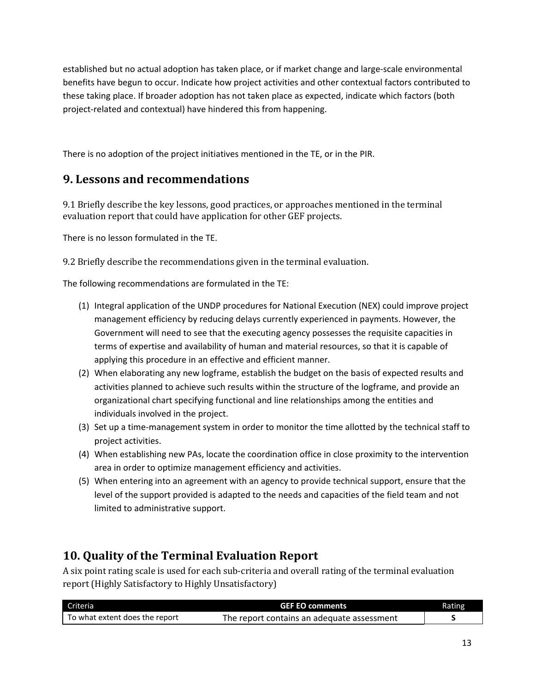established but no actual adoption has taken place, or if market change and large-scale environmental benefits have begun to occur. Indicate how project activities and other contextual factors contributed to these taking place. If broader adoption has not taken place as expected, indicate which factors (both project-related and contextual) have hindered this from happening.

There is no adoption of the project initiatives mentioned in the TE, or in the PIR.

### **9. Lessons and recommendations**

9.1 Briefly describe the key lessons, good practices, or approaches mentioned in the terminal evaluation report that could have application for other GEF projects.

There is no lesson formulated in the TE.

9.2 Briefly describe the recommendations given in the terminal evaluation.

The following recommendations are formulated in the TE:

- (1) Integral application of the UNDP procedures for National Execution (NEX) could improve project management efficiency by reducing delays currently experienced in payments. However, the Government will need to see that the executing agency possesses the requisite capacities in terms of expertise and availability of human and material resources, so that it is capable of applying this procedure in an effective and efficient manner.
- (2) When elaborating any new logframe, establish the budget on the basis of expected results and activities planned to achieve such results within the structure of the logframe, and provide an organizational chart specifying functional and line relationships among the entities and individuals involved in the project.
- (3) Set up a time-management system in order to monitor the time allotted by the technical staff to project activities.
- (4) When establishing new PAs, locate the coordination office in close proximity to the intervention area in order to optimize management efficiency and activities.
- (5) When entering into an agreement with an agency to provide technical support, ensure that the level of the support provided is adapted to the needs and capacities of the field team and not limited to administrative support.

## **10. Quality of the Terminal Evaluation Report**

A six point rating scale is used for each sub-criteria and overall rating of the terminal evaluation report (Highly Satisfactory to Highly Unsatisfactory)

| Criteria                       | <b>GEF EO comments</b>                     | Rating |
|--------------------------------|--------------------------------------------|--------|
| To what extent does the report | The report contains an adequate assessment |        |